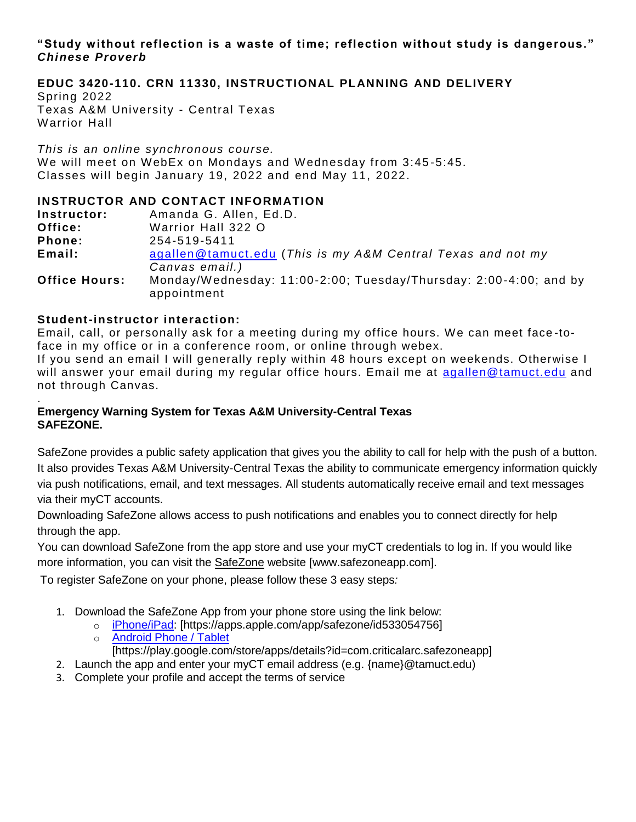## **"Study without reflection is a waste of time; reflection without study is dangerous."** *Chinese Proverb*

**EDUC 3420-110. CRN 11330, INSTRUCTIONAL PLANNING AND DELIVERY** Spring 2022 Texas A&M University - Central Texas Warrior Hall

*This is an online synchronous course.* We will meet on WebEx on Mondays and Wednesday from 3:45-5:45. Classes will begin January 19, 2022 and end May 11, 2022.

# **INSTRUCTOR AND CONTACT INFORMATION**

| Instructor:          | Amanda G. Allen, Ed.D.                                                           |  |  |
|----------------------|----------------------------------------------------------------------------------|--|--|
| Office:              | Warrior Hall 322 O                                                               |  |  |
| Phone:               | 254-519-5411                                                                     |  |  |
| Email:               | agallen@tamuct.edu (This is my A&M Central Texas and not my                      |  |  |
|                      | Canvas email.)                                                                   |  |  |
| <b>Office Hours:</b> | Monday/Wednesday: 11:00-2:00; Tuesday/Thursday: 2:00-4:00; and by<br>appointment |  |  |

# **Student-instructor interaction:**

Email, call, or personally ask for a meeting during my office hours. We can meet face -toface in my office or in a conference room, or online through webex.

If you send an email I will generally reply within 48 hours except on weekends. Otherwise I will answer your email during my regular office hours. Email me at [agallen@tamuct.edu](mailto:agallen@tamuct.edu) and not through Canvas.

### . **Emergency Warning System for Texas A&M University-Central Texas SAFEZONE.**

SafeZone provides a public safety application that gives you the ability to call for help with the push of a button. It also provides Texas A&M University-Central Texas the ability to communicate emergency information quickly via push notifications, email, and text messages. All students automatically receive email and text messages via their myCT accounts.

Downloading SafeZone allows access to push notifications and enables you to connect directly for help through the app.

You can download SafeZone from the app store and use your myCT credentials to log in. If you would like more information, you can visit the [SafeZone](http://www.safezoneapp.com/) website [www.safezoneapp.com].

To register SafeZone on your phone, please follow these 3 easy steps*:*

- 1. Download the SafeZone App from your phone store using the link below:
	- o [iPhone/iPad:](https://apps.apple.com/app/safezone/id533054756) [https://apps.apple.com/app/safezone/id533054756]
	- o [Android Phone / Tablet](https://play.google.com/store/apps/details?id=com.criticalarc.safezoneapp)
	- [https://play.google.com/store/apps/details?id=com.criticalarc.safezoneapp]
- 2. Launch the app and enter your myCT email address (e.g. {name}@tamuct.edu)
- 3. Complete your profile and accept the terms of service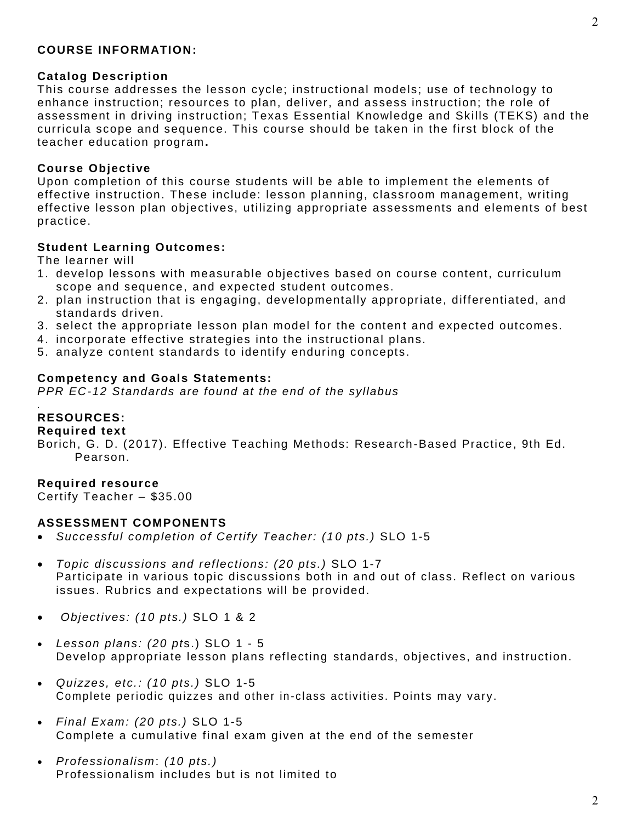### **COURSE INFORMATION:**

### **Catalog Description**

This course addresses the lesson cycle; instructional models; use of technology to enhance instruction; resources to plan, deliver, and assess instruction; the role of assessment in driving instruction; Texas Essential Knowledge and Skills (TEKS) and the curricula scope and sequence. This course should be taken in the first block of the teacher education program **.**

#### **Course Objective**

Upon completion of this course students will be able to implement the elements of effective instruction. These include: lesson planning, classroom management, writing effective lesson plan objectives, utilizing appropriate assessments and elements of best practice.

### **Student Learning Outcomes:**

The learner will

- 1. develop lessons with measurable o bjectives based on course content, curriculum scope and sequence, and expected student outcomes.
- 2. plan instruction that is engaging, developmentally appropriate, differentiated, and standards driven.
- 3. select the appropriate lesson plan model for the content and expected outcomes.
- 4. incorporate effective strategies into the instructional plans.
- 5. analyze content standards to identify enduring concepts.

#### **Competency and Goals Statements:**

*PPR EC-12 Standards are found at the end of the syllabus*

### **RESOURCES:**

*.*

### **Required text**

Borich, G. D. (2017). Effective Teaching Methods: Research -Based Practice, 9th Ed. Pearson.

#### **Required resource**

Certify Teacher – \$35.00

#### **ASSESSMENT COMPONENTS**

- *Successful completion of Certify Teacher: (1 0 pts.)* SLO 1-5
- *Topic discussions and reflections: (20 pts.)* SLO 1-7 Participate in various topic discussions both in and out of class. Reflect on various issues. Rubrics and expectations will be provided.
- *Objectives: (10 pts.)* SLO 1 & 2
- *Lesson plans: (20 pt*s.) SLO 1 5 Develop appropriate lesson plans reflecting standards, objectives, and instruction.
- *Quizzes, etc.: (10 pts.)* SLO 1-5 Complete periodic quizzes and other in-class activities . Points may vary.
- *Final Exam: (20 pts.)* SLO 1-5 Complete a cumulative final exam given at the end of the semester
- *Professionalism*: *(10 pts.)* Professionalism includes but is not limited to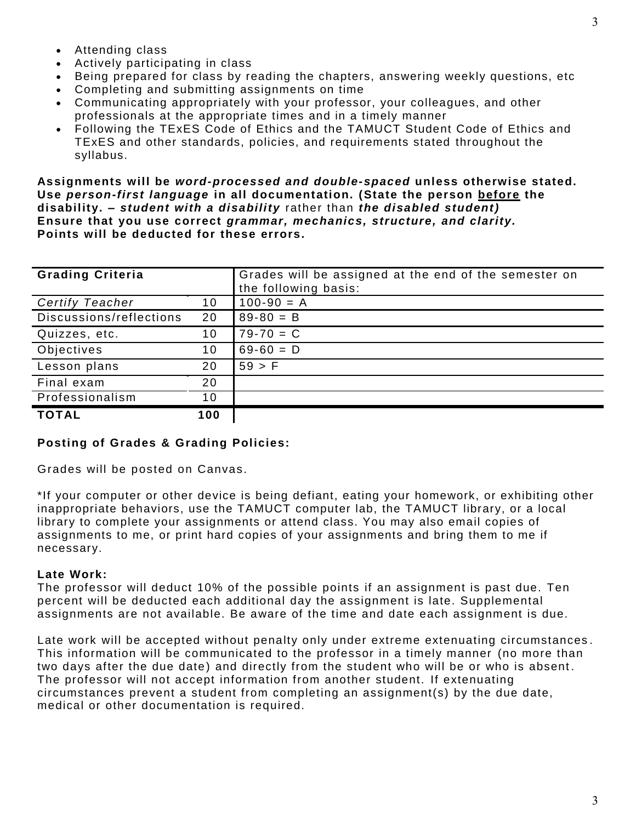- Attending class
- Actively participating in class
- Being prepared for class by reading the chapters, answering weekly questions, etc
- Completing and submitting assignments on time
- Communicating appropriately with your professor, your colleagues, and other professionals at the appropriate times and in a timely manner
- Following the TExES Code of Ethics and the TAMUCT Student Code of Ethics and TExES and other standards, policies, and requirements stated throughout the syllabus.

**Assignments will be** *word-processed and double-spaced* **unless otherwise stated. Use** *person-first language* **in all documentation. (State the person before the disability. –** *student with a disability* rather than *the disabled student)* **Ensure that you use correct** *grammar, mechanics, structure, and clarity.* **Points will be deducted for these errors.** 

| <b>Grading Criteria</b> |     | Grades will be assigned at the end of the semester on<br>the following basis: |
|-------------------------|-----|-------------------------------------------------------------------------------|
| <b>Certify Teacher</b>  | 10  | $100-90 = A$                                                                  |
| Discussions/reflections | 20  | $89 - 80 = B$                                                                 |
| Quizzes, etc.           | 10  | $79 - 70 = C$                                                                 |
| Objectives              | 10  | $69-60 = D$                                                                   |
| Lesson plans            | 20  | 59 > F                                                                        |
| Final exam              | 20  |                                                                               |
| Professionalism         | 10  |                                                                               |
| <b>TOTAL</b>            | 100 |                                                                               |

## **Posting of Grades & Grading Policies:**

Grades will be posted on Canvas.

\*If your computer or other device is being defiant, eating your homework, or exhibiting other inappropriate behaviors, use the TAMUCT computer lab, the TAMUCT library, or a local library to complete your assignments or attend class. You may also email copies of assignments to me, or print hard copies of your assignments and bring them to me if necessary.

## **Late Work:**

The professor will deduct 10% of the possible points if an assignment is past due. Ten percent will be deducted each additional day the assignment is late. Supplemental assignments are not available. Be aware of the time and date each assignment is due.

Late work will be accepted without penalty only under extreme extenuating circumstances . This information will be communicated to the professor in a timely manner (no more than two days after the due date) and directly from the student who will be or who is absent . The professor will not accept information from another student. If extenuating circumstances prevent a student from completing an assignment(s) by the due date, medical or other documentation is required.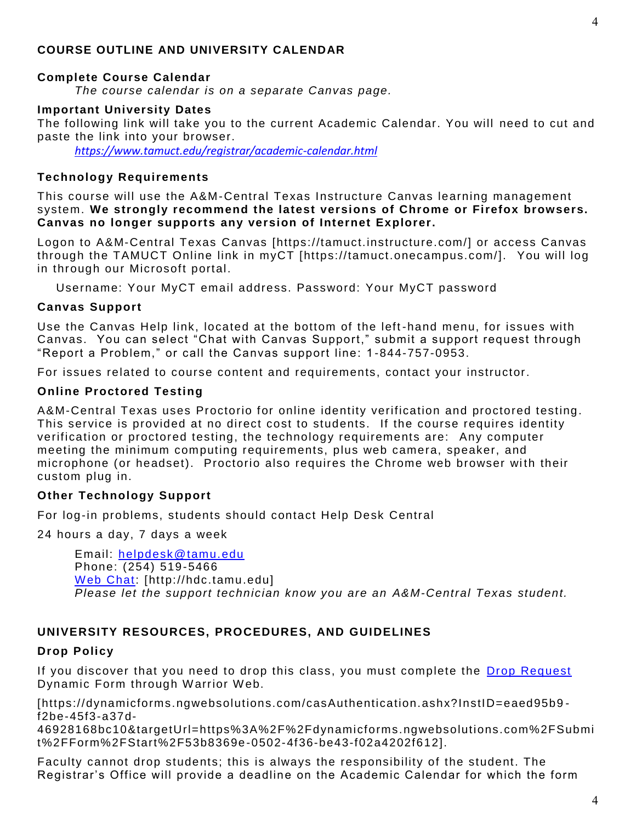## **COURSE OUTLINE AND UNIVERSITY CALENDAR**

### **Complete Course Calendar**

*The course calendar is on a separate Canvas page.*

### **Important University Dates**

The following link will take you to the current Academic Calendar. You will need to cut and paste the link into your browser.

*<https://www.tamuct.edu/registrar/academic-calendar.html>*

### **Technology Requirements**

This course will use the A&M-Central Texas Instructure Canvas learning management system. **We strongly recommend the latest versions of Chrome or Firefox browsers. Canvas no longer supports any version of Internet Explorer.**

Logon to A&M-Central Texas Canvas [https://tamuct.instructure.com/] or access Canvas through the TAMUCT Online link in myCT [https://tamuct.onecampus.com/]. You will log in through our Microsoft portal.

Username: Your MyCT email address. Password: Your MyCT password

#### **Canvas Support**

Use the Canvas Help link, located at the bottom of the left -hand menu, for issues with Canvas. You can select "Chat with Canvas Support," submit a support request through "Report a Problem," or call the Canvas support line: 1 -844-757-0953.

For issues related to course content and requirements, contact your instructor.

#### **Online Proctored Testing**

A&M-Central Texas uses Proctorio for online identity verification and proctored testing. This service is provided at no direct cost to students. If the course requires identity verification or proctored testing, the technology requirements are: Any computer meeting the minimum computing requirements, plus web camera, speaker, and microphone (or headset). Proctorio also requires the Chrome web browser with their custom plug in.

### **Other Technology Support**

For log-in problems, students should contact Help Desk Central

24 hours a day, 7 days a week

Email: [helpdesk@tamu.edu](mailto:helpdesk@tamu.edu) Phone: (254) 519-5466 [Web Chat:](http://hdc.tamu.edu/) [http://hdc.tamu.edu] *Please let the support technician know you are an A&M-Central Texas student.*

### **UNIVERSITY RESOURCES, PROCEDURES, AND GUIDELINES**

### **Drop Policy**

If you discover that you need to drop this class, you must complete the [Drop Request](https://dynamicforms.ngwebsolutions.com/casAuthentication.ashx?InstID=eaed95b9-f2be-45f3-a37d-46928168bc10&targetUrl=https%3A%2F%2Fdynamicforms.ngwebsolutions.com%2FSubmit%2FForm%2FStart%2F53b8369e-0502-4f36-be43-f02a4202f612) Dynamic Form through Warrior Web.

[https://dynamicforms.ngwebsolutions.com/casAuthentication.ashx?InstID=eaed95b9 f2be-45f3-a37d-

46928168bc10&targetUrl=https%3A%2F%2Fdynamicforms.ngwebsolutions.com%2FSubmi t%2FForm%2FStart%2F53b8369e -0502-4f36-be43-f02a4202f612].

Faculty cannot drop students; this is always the responsibility of the student. The Registrar's Office will provide a deadline on the Academic Calendar for which the form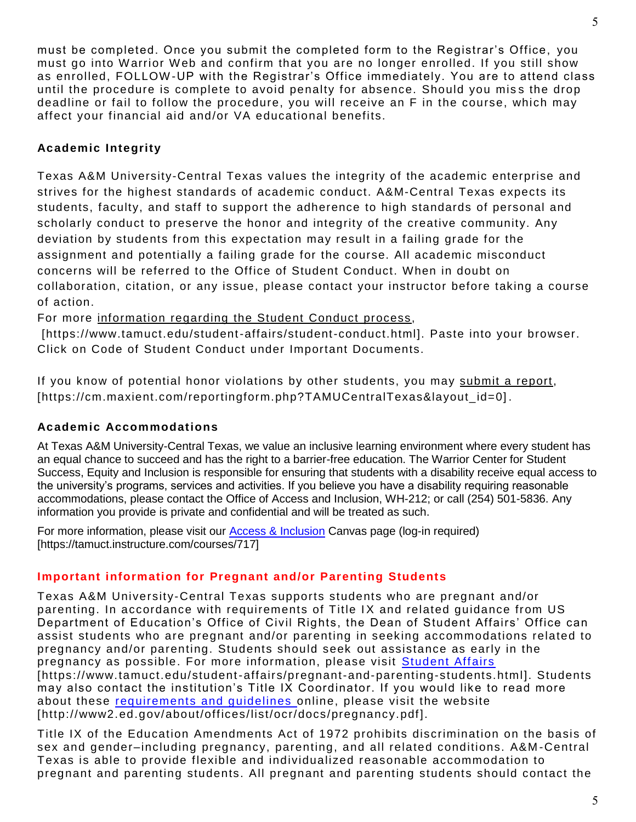must be completed. Once you submit the completed form to the Registrar's Office, you must go into W arrior W eb and confirm that you are no longer enrolled. If you still show as enrolled, FOLLOW-UP with the Registrar's Office immediately. You are to attend class until the procedure is complete to avoid penalty for absence. Should you miss the drop deadline or fail to follow the procedure, you will receive an F in the course, which may affect your financial aid and/or VA educational benefits.

# **Academic Integrity**

Texas A&M University-Central Texas values the integrity of the academic enterprise and strives for the highest standards of academic conduct. A&M-Central Texas expects its students, faculty, and staff to support the adherence to high standards of personal and scholarly conduct to preserve the honor and integrity of the creative community. Any deviation by students from this expectation may result in a failing grade for the assignment and potentially a failing grade for the course. All academic misconduct concerns will be referred to the Office of Student Conduct. When in doubt on collaboration, citation, or any issue, please contact your instructor before taking a course of action.

For more [information](https://nam04.safelinks.protection.outlook.com/?url=https%3A%2F%2Fwww.tamuct.edu%2Fstudent-affairs%2Fstudent-conduct.html&data=04%7C01%7Clisa.bunkowski%40tamuct.edu%7Ccfb6e486f24745f53e1a08d910055cb2%7C9eed4e3000f744849ff193ad8005acec%7C0%7C0%7C637558437485252160%7CUnknown%7CTWFpbGZsb3d8eyJWIjoiMC4wLjAwMDAiLCJQIjoiV2luMzIiLCJBTiI6Ik1haWwiLCJXVCI6Mn0%3D%7C1000&sdata=yjftDEVHvLX%2FhM%2FcFU0B99krV1RgEWR%2BJ%2BhvtoR6TYk%3D&reserved=0) regarding the Student Conduct process,

[https://www.tamuct.edu/student-affairs/student-conduct.html]. Paste into your browser. Click on Code of Student Conduct under Important Documents.

If you know of potential honor violations by other students, you may [submit](https://nam04.safelinks.protection.outlook.com/?url=https%3A%2F%2Fcm.maxient.com%2Freportingform.php%3FTAMUCentralTexas%26layout_id%3D0&data=04%7C01%7Clisa.bunkowski%40tamuct.edu%7Ccfb6e486f24745f53e1a08d910055cb2%7C9eed4e3000f744849ff193ad8005acec%7C0%7C0%7C637558437485262157%7CUnknown%7CTWFpbGZsb3d8eyJWIjoiMC4wLjAwMDAiLCJQIjoiV2luMzIiLCJBTiI6Ik1haWwiLCJXVCI6Mn0%3D%7C1000&sdata=CXGkOa6uPDPX1IMZ87z3aZDq2n91xfHKu4MMS43Ejjk%3D&reserved=0) a report, [https://cm.maxient.com/reportingform.php?TAMUCentralTexas&layout\_id=0] .

# **Academic Accommodations**

At Texas A&M University-Central Texas, we value an inclusive learning environment where every student has an equal chance to succeed and has the right to a barrier-free education. The Warrior Center for Student Success, Equity and Inclusion is responsible for ensuring that students with a disability receive equal access to the university's programs, services and activities. If you believe you have a disability requiring reasonable accommodations, please contact the Office of Access and Inclusion, WH-212; or call (254) 501-5836. Any information you provide is private and confidential and will be treated as such.

For more information, please visit our [Access & Inclusion](https://tamuct.instructure.com/courses/717) Canvas page (log-in required) [https://tamuct.instructure.com/courses/717]

# **Important information for Pregnant and/or Parenting Students**

Texas A&M University-Central Texas supports students who are pregnant and/or parenting. In accordance with requirements of Title IX and related guidance from US Department of Education's Office of Civil Rights, the Dean of Student Affairs' Office can assist students who are pregnant and/or parenting in seeking accommodations related to pregnancy and/or parenting. Students should seek out assistance as early in the pregnancy as possible. For more information, please visit [Student Affairs](https://www.tamuct.edu/student-affairs/pregnant-and-parenting-students.html) [https://www.tamuct.edu/student-affairs/pregnant-and-parenting-students.html]. Students may also contact the institution's Title IX Coordinator. If you would like to read more about these [requirements and guidelines](http://www2.ed.gov/about/offices/list/ocr/docs/pregnancy.pdf) online, please visit the website [http://www2.ed.gov/about/offices/list/ocr/docs/pregnancy.pdf].

Title IX of the Education Amendments Act of 1972 prohibits discrimination on the basis of sex and gender–including pregnancy, parenting, and all related conditions. A&M -Central Texas is able to provide flexible and individualized reasonable accommodation to pregnant and parenting students. All pregnant and parenting students should contact the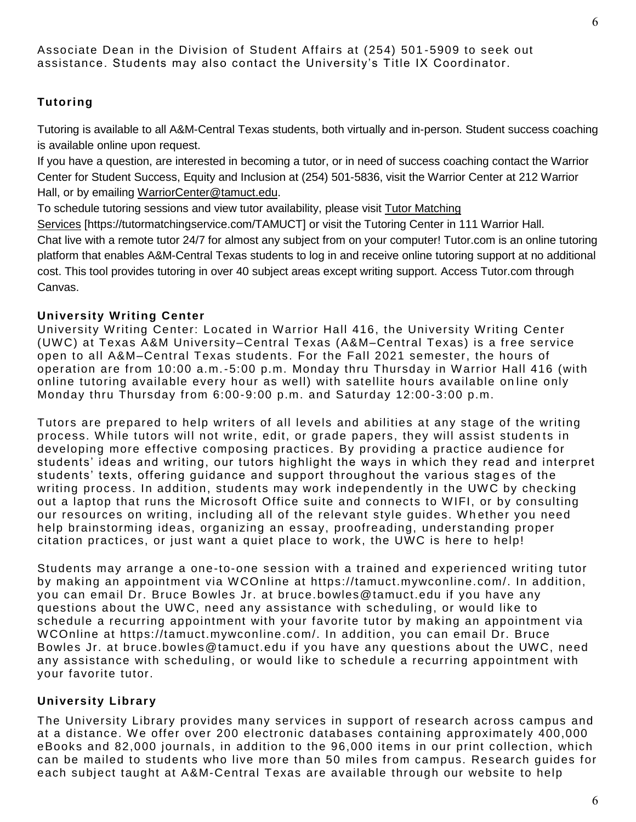# **Tutoring**

Tutoring is available to all A&M-Central Texas students, both virtually and in-person. Student success coaching is available online upon request.

If you have a question, are interested in becoming a tutor, or in need of success coaching contact the Warrior Center for Student Success, Equity and Inclusion at (254) 501-5836, visit the Warrior Center at 212 Warrior Hall, or by emailing [WarriorCenter@tamuct.edu.](mailto:WarriorCenter@tamuct.edu)

To schedule tutoring sessions and view tutor availability, please visit Tutor [Matching](https://tutormatchingservice.com/TAMUCT)

[Services](https://tutormatchingservice.com/TAMUCT) [https://tutormatchingservice.com/TAMUCT] or visit the Tutoring Center in 111 Warrior Hall. Chat live with a remote tutor 24/7 for almost any subject from on your computer! Tutor.com is an online tutoring platform that enables A&M-Central Texas students to log in and receive online tutoring support at no additional cost. This tool provides tutoring in over 40 subject areas except writing support. Access Tutor.com through Canvas.

# **University Writing Center**

University W riting Center: Located in Warrior Hall 416, the University W riting Center (UW C) at Texas A&M University–Central Texas (A&M–Central Texas) is a free service open to all A&M–Central Texas students. For the Fall 2021 semester, the hours of operation are from 10:00 a.m.-5:00 p.m. Monday thru Thursday in W arrior Hall 416 (with online tutoring available every hour as well) with satellite hours available on line only Monday thru Thursday from 6:00-9:00 p.m. and Saturday 12:00-3:00 p.m.

Tutors are prepared to help writers of all levels and abilities at any stage of the writing process. W hile tutors will not write, edit, or grade papers, they will assist studen ts in developing more effective composing practices. By providing a practice audience for students' ideas and writing, our tutors highlight the ways in which they read and interpret students' texts, offering guidance and support throughout the various stag es of the writing process. In addition, students may work independently in the UWC by checking out a laptop that runs the Microsoft Office suite and connects to W IFI, or by consulting our resources on writing, including all of the relevant style guides. Whether you need help brainstorming ideas, organizing an essay, proofreading, understanding proper citation practices, or just want a quiet place to work, the UWC is here to help!

Students may arrange a one-to-one session with a trained and experienced writing tutor by making an appointment via W COnline at https://tamuct.mywconline.com/. In addition, you can email Dr. Bruce Bowles Jr. at bruce.bowles@tamuct.edu if you have any questions about the UW C, need any assistance with scheduling, or would like to schedule a recurring appointment with your favorite tutor by making an appointment via WCOnline at https://tamuct.mywconline.com/. In addition, you can email Dr. Bruce Bowles Jr. at bruce.bowles@tamuct.edu if you have any questions about the UWC, need any assistance with scheduling, or would like to schedule a recurring appointment with your favorite tutor.

# **University Library**

The University Library provides many services in support of research across campus and at a distance. W e offer over 200 electronic databases containing approximately 400,000 eBooks and 82,000 journals, in addition to the 96,000 items in our print collection, which can be mailed to students who live more than 50 miles from campus. Research guides for each subject taught at A&M-Central Texas are available through our website to help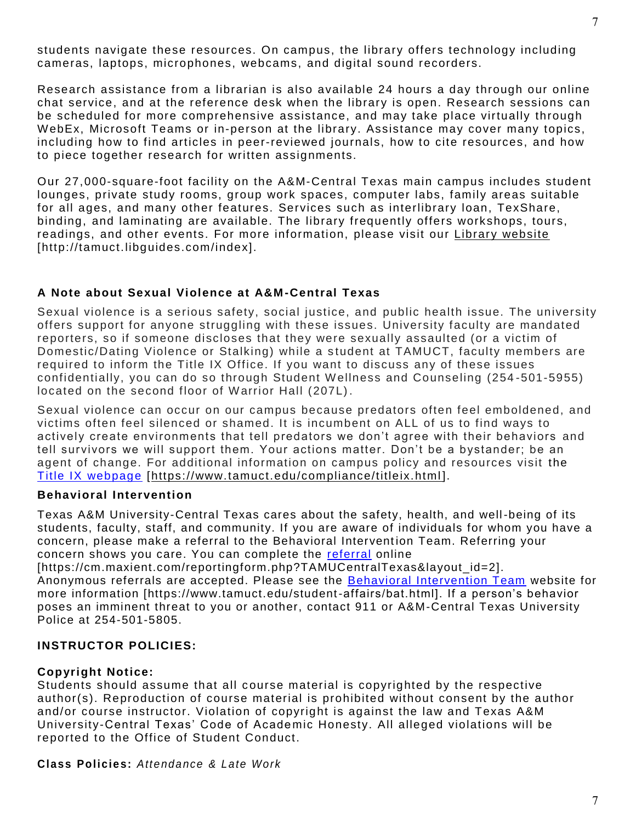students navigate these resources. On campus, the library offers technology including cameras, laptops, microphones, webcams, and digital sound recorders.

Research assistance from a librarian is also available 24 hours a day through our online chat service, and at the reference desk when the library is open. Research sessions can be scheduled for more comprehensive assistance, and may take place virtually through WebEx, Microsoft Teams or in-person at the library. Assistance may cover many topics, including how to find articles in peer-reviewed journals, how to cite resources, and how to piece together research for written assignments.

Our 27,000-square-foot facility on the A&M-Central Texas main campus includes student lounges, private study rooms, group work spaces, computer labs, family areas suitable for all ages, and many other features. Services such as interlibrary loan, TexShare, binding, and laminating are available. The library frequently offers workshops, tours, readings, and other events. For more information, please visit our Library [website](https://nam04.safelinks.protection.outlook.com/?url=https%3A%2F%2Ftamuct.libguides.com%2Findex&data=04%7C01%7Clisa.bunkowski%40tamuct.edu%7C7d8489e8839a4915335f08d916f067f2%7C9eed4e3000f744849ff193ad8005acec%7C0%7C0%7C637566044056484222%7CUnknown%7CTWFpbGZsb3d8eyJWIjoiMC4wLjAwMDAiLCJQIjoiV2luMzIiLCJBTiI6Ik1haWwiLCJXVCI6Mn0%3D%7C1000&sdata=2R755V6rcIyedGrd4Os5rkgn1PvhHKU3kUV1vBKiHFo%3D&reserved=0) [http://tamuct.libguides.com/index].

## **A Note about Sexual Violence at A&M -Central Texas**

Sexual violence is a serious safety, social justice, and public health issue. The university offers support for anyone struggling with these issues. University faculty are mandated reporters, so if someone discloses that they were sexually assaulted (or a victim of Domestic/Dating Violence or Stalking) while a s tudent at TAMUCT, faculty members are required to inform the Title IX Office. If you want to discuss any of these issues confidentially, you can do so through Student W ellness and Counseling (254 -501-5955) located on the second floor of Warrior Hall (207L).

Sexual violence can occur on our campus because predators often feel emboldened, and victims often feel silenced or shamed. It is incumbent on ALL of us to find ways to actively create environments that tell predators we don't agree with their behaviors and tell survivors we will support them. Your actions matter. Don't be a bystander; be an agent of change. For additional information on campus policy and resources visit the [Title IX webpage](https://www.tamuct.edu/compliance/titleix.html) [\[https://www.tamuct.edu/compliance/titleix.html](https://www.tamuct.edu/compliance/titleix.html) ].

## **Behavioral Intervention**

Texas A&M University-Central Texas cares about the safety, health, and well-being of its students, faculty, staff, and community. If you are aware of individuals for whom you have a concern, please make a referral to the Behavioral Intervention Team. Referring your concern shows you care. You can complete the [referral](https://cm.maxient.com/reportingform.php?TAMUCentralTexas&layout_id=2) online

[https://cm.maxient.com/reportingform.php?TAMUCentralTexas&layout\_id=2]. Anonymous referrals are accepted. Please see the [Behavioral Intervention Team](https://www.tamuct.edu/student-affairs/bat.html) website for more information [https://www.tamuct.edu/student-affairs/bat.html]. If a person's behavior poses an imminent threat to you or another, contact 911 or A&M-Central Texas University Police at 254-501-5805.

## **INSTRUCTOR POLICIES:**

## **Copyright Notice:**

Students should assume that all course material is copyrighted by the respective author(s). Reproduction of course material is prohibited without consent by the author and/or course instructor. Violation of copyright is against the law and Texas A&M University-Central Texas' Code of Academic Honesty. All alleged violations will be reported to the Office of Student Conduct.

**Class Policies:** *Attendance & Late Work*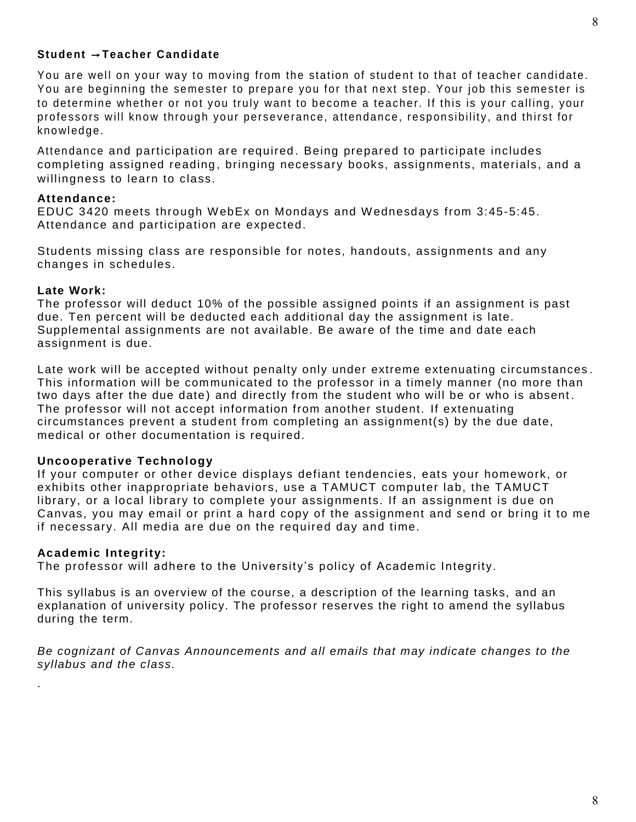## **Student** →**Teacher Candidate**

You are well on your way to moving from the station of student to that of teacher candidate. You are beginning the semester to prepare you for that next step. Your job this semester is to determine whether or not you truly want to become a teacher. If this is your calling, your professors will know through your perseverance, attendance, responsibility, and thirst for knowledge.

Attendance and participation are required . Being prepared to participate includes completing assigned reading, bringing necessary books, assignments, materials, and a willingness to learn to class.

### **Attendance:**

EDUC 3420 meets through W ebEx on Mondays and W ednesdays from 3:45-5:45. Attendance and participation are expected.

Students missing class are responsible for notes, handouts, assignments and any changes in schedules.

#### **Late Work:**

The professor will deduct 10% of the possible assigned points if an assignment is past due. Ten percent will be deducted each additional day the assignment is late. Supplemental assignments are not available. Be aware of the time and date each assignment is due.

Late work will be accepted without penalty only under extreme extenuating circumstances . This information will be communicated to the professor in a timely manner (no more than two days after the due date) and directly from the student who will be or who is absent . The professor will not accept information from another student. If extenuating circumstances prevent a student from completing an assignment(s) by the due date, medical or other documentation is required.

### **Uncooperative Technology**

If your computer or other device displays defiant tendencies, eats your homework, or exhibits other inappropriate behaviors, use a TAMUCT computer lab, the TAMUCT library, or a local library to complete your assignments. If an assignment is due on Canvas, you may email or print a hard copy of the assignment and send or bring it to me if necessary. All media are due on the required day and time.

#### **Academic Integrity:**

.

The professor will adhere to the University's policy of Academic Integrity.

This syllabus is an overview of the course, a description of the learning tasks, and an explanation of university policy. The professor reserves the right to amend the syllabus during the term.

*Be cognizant of Canvas Announcements and all emails that may indicate changes to the syllabus and the class.*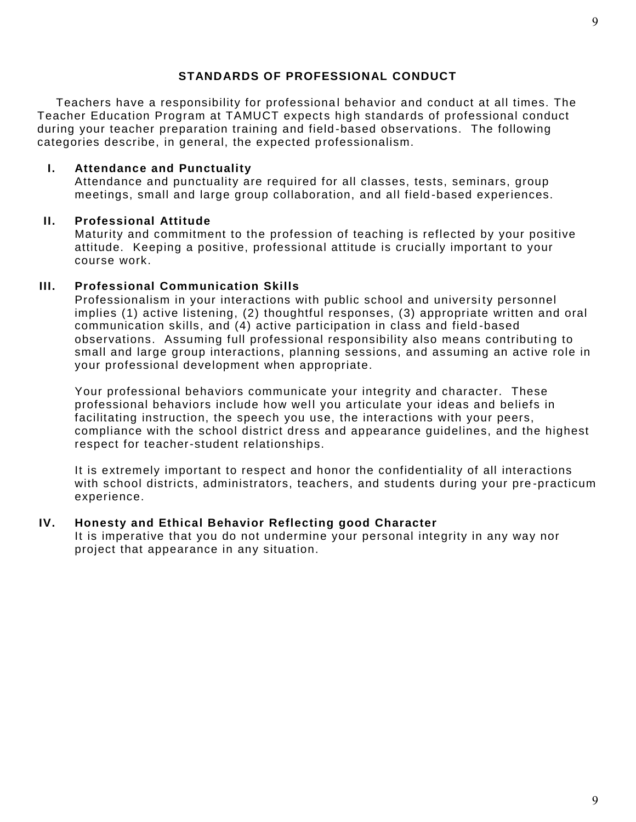## **STANDARDS OF PROFESSIONAL CONDUCT**

Teachers have a responsibility for professional behavior and conduct at all times. The Teacher Education Program at TAMUCT expects high standards of professional conduct during your teacher preparation training and field -based observations. The following categories describe, in general, the expected professionalism.

### **I. Attendance and Punctuality**

Attendance and punctuality are required for all classes, tests, seminars, group meetings, small and large group collaboration, and all field -based experiences.

## **II. Professional Attitude**

Maturity and commitment to the profession of teaching is reflected by your positive attitude. Keeping a positive, professional attitude is crucially important to your course work.

## **III. Professional Communication Skills**

Professionalism in your interactions with public school and university personnel implies (1) active listening, (2) thoughtful responses, (3) appropriate written and oral communication skills, and (4) active participation in class and field -based observations. Assuming full professional responsibility also means contributing to small and large group interactions, planning sessions, and assuming an active role in your professional development when appropriate.

Your professional behaviors communicate your integrity and character. These professional behaviors include how well you articulate your ideas and beliefs in facilitating instruction, the speech you use, the interactions with your peers, compliance with the school district dress and appearance guidelines, and the highest respect for teacher-student relationships.

It is extremely important to respect and honor the confidentiality of all interactions with school districts, administrators, teachers, and students during your pre -practicum experience.

### **IV. Honesty and Ethical Behavior Reflecting good Character**

It is imperative that you do not undermine your personal integrity in any way nor project that appearance in any situation.